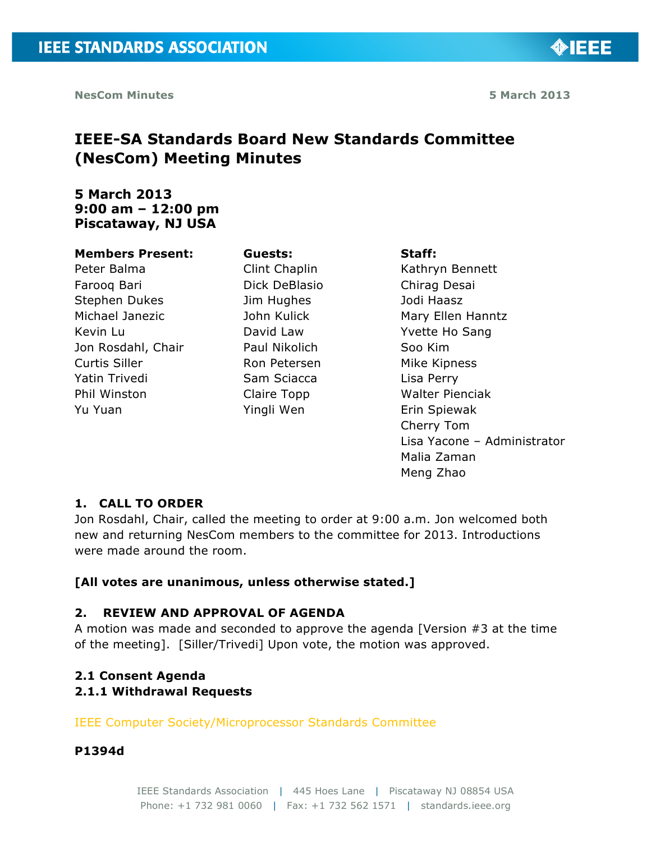◈IEEE

# **IEEE-SA Standards Board New Standards Committee (NesCom) Meeting Minutes**

# **5 March 2013 9:00 am – 12:00 pm Piscataway, NJ USA**

#### **Members Present:**

Peter Balma Farooq Bari Stephen Dukes Michael Janezic Kevin Lu Jon Rosdahl, Chair Curtis Siller Yatin Trivedi Phil Winston Yu Yuan

**Guests:** Clint Chaplin Dick DeBlasio Jim Hughes John Kulick David Law Paul Nikolich Ron Petersen Sam Sciacca Claire Topp Yingli Wen

#### **Staff:**

Kathryn Bennett Chirag Desai Jodi Haasz Mary Ellen Hanntz Yvette Ho Sang Soo Kim Mike Kipness Lisa Perry Walter Pienciak Erin Spiewak Cherry Tom Lisa Yacone – Administrator Malia Zaman Meng Zhao

# **1. CALL TO ORDER**

Jon Rosdahl, Chair, called the meeting to order at 9:00 a.m. Jon welcomed both new and returning NesCom members to the committee for 2013. Introductions were made around the room.

# **[All votes are unanimous, unless otherwise stated.]**

### **2. REVIEW AND APPROVAL OF AGENDA**

A motion was made and seconded to approve the agenda [Version #3 at the time of the meeting]. [Siller/Trivedi] Upon vote, the motion was approved.

# **2.1 Consent Agenda**

### **2.1.1 Withdrawal Requests**

IEEE Computer Society/Microprocessor Standards Committee

### **P1394d**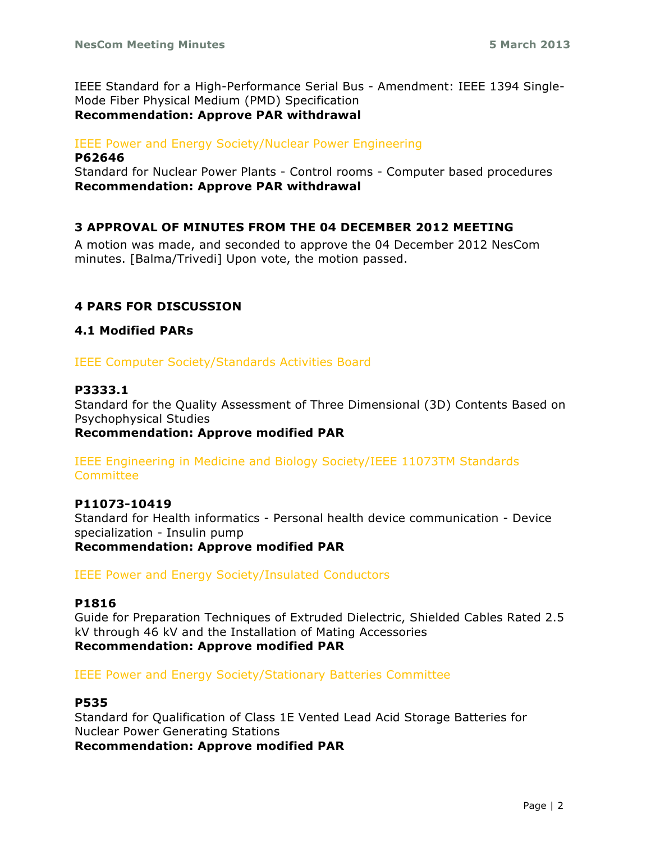IEEE Standard for a High-Performance Serial Bus - Amendment: IEEE 1394 Single-Mode Fiber Physical Medium (PMD) Specification **Recommendation: Approve PAR withdrawal**

## IEEE Power and Energy Society/Nuclear Power Engineering

#### **P62646**

Standard for Nuclear Power Plants - Control rooms - Computer based procedures **Recommendation: Approve PAR withdrawal**

### **3 APPROVAL OF MINUTES FROM THE 04 DECEMBER 2012 MEETING**

A motion was made, and seconded to approve the 04 December 2012 NesCom minutes. [Balma/Trivedi] Upon vote, the motion passed.

# **4 PARS FOR DISCUSSION**

### **4.1 Modified PARs**

IEEE Computer Society/Standards Activities Board

### **P3333.1**

Standard for the Quality Assessment of Three Dimensional (3D) Contents Based on Psychophysical Studies

### **Recommendation: Approve modified PAR**

IEEE Engineering in Medicine and Biology Society/IEEE 11073TM Standards Committee

#### **P11073-10419**

Standard for Health informatics - Personal health device communication - Device specialization - Insulin pump **Recommendation: Approve modified PAR**

IEEE Power and Energy Society/Insulated Conductors

#### **P1816**

Guide for Preparation Techniques of Extruded Dielectric, Shielded Cables Rated 2.5 kV through 46 kV and the Installation of Mating Accessories **Recommendation: Approve modified PAR**

IEEE Power and Energy Society/Stationary Batteries Committee

### **P535**

Standard for Qualification of Class 1E Vented Lead Acid Storage Batteries for Nuclear Power Generating Stations **Recommendation: Approve modified PAR**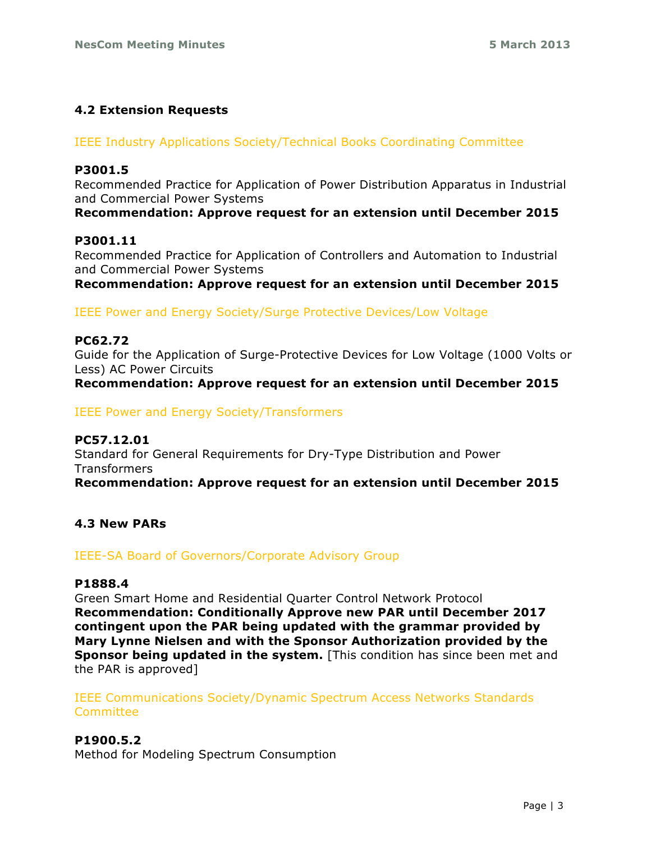### **4.2 Extension Requests**

#### IEEE Industry Applications Society/Technical Books Coordinating Committee

### **P3001.5**

Recommended Practice for Application of Power Distribution Apparatus in Industrial and Commercial Power Systems

**Recommendation: Approve request for an extension until December 2015**

#### **P3001.11**

Recommended Practice for Application of Controllers and Automation to Industrial and Commercial Power Systems

**Recommendation: Approve request for an extension until December 2015**

IEEE Power and Energy Society/Surge Protective Devices/Low Voltage

### **PC62.72**

Guide for the Application of Surge-Protective Devices for Low Voltage (1000 Volts or Less) AC Power Circuits

**Recommendation: Approve request for an extension until December 2015**

IEEE Power and Energy Society/Transformers

**PC57.12.01** Standard for General Requirements for Dry-Type Distribution and Power Transformers **Recommendation: Approve request for an extension until December 2015**

### **4.3 New PARs**

IEEE-SA Board of Governors/Corporate Advisory Group

#### **P1888.4**

Green Smart Home and Residential Quarter Control Network Protocol **Recommendation: Conditionally Approve new PAR until December 2017 contingent upon the PAR being updated with the grammar provided by Mary Lynne Nielsen and with the Sponsor Authorization provided by the Sponsor being updated in the system.** [This condition has since been met and the PAR is approved]

IEEE Communications Society/Dynamic Spectrum Access Networks Standards **Committee** 

### **P1900.5.2**

Method for Modeling Spectrum Consumption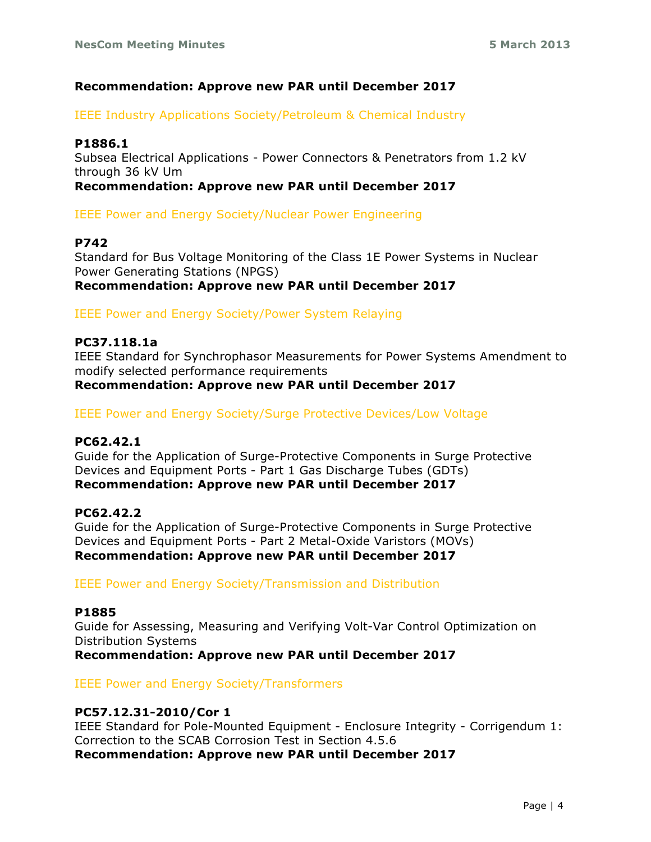### **Recommendation: Approve new PAR until December 2017**

IEEE Industry Applications Society/Petroleum & Chemical Industry

### **P1886.1**

Subsea Electrical Applications - Power Connectors & Penetrators from 1.2 kV through 36 kV Um

**Recommendation: Approve new PAR until December 2017**

IEEE Power and Energy Society/Nuclear Power Engineering

### **P742**

Standard for Bus Voltage Monitoring of the Class 1E Power Systems in Nuclear Power Generating Stations (NPGS) **Recommendation: Approve new PAR until December 2017**

IEEE Power and Energy Society/Power System Relaying

### **PC37.118.1a**

IEEE Standard for Synchrophasor Measurements for Power Systems Amendment to modify selected performance requirements **Recommendation: Approve new PAR until December 2017**

IEEE Power and Energy Society/Surge Protective Devices/Low Voltage

### **PC62.42.1**

Guide for the Application of Surge-Protective Components in Surge Protective Devices and Equipment Ports - Part 1 Gas Discharge Tubes (GDTs) **Recommendation: Approve new PAR until December 2017**

#### **PC62.42.2**

Guide for the Application of Surge-Protective Components in Surge Protective Devices and Equipment Ports - Part 2 Metal-Oxide Varistors (MOVs) **Recommendation: Approve new PAR until December 2017**

IEEE Power and Energy Society/Transmission and Distribution

#### **P1885**

Guide for Assessing, Measuring and Verifying Volt-Var Control Optimization on Distribution Systems **Recommendation: Approve new PAR until December 2017**

IEEE Power and Energy Society/Transformers

### **PC57.12.31-2010/Cor 1**

IEEE Standard for Pole-Mounted Equipment - Enclosure Integrity - Corrigendum 1: Correction to the SCAB Corrosion Test in Section 4.5.6 **Recommendation: Approve new PAR until December 2017**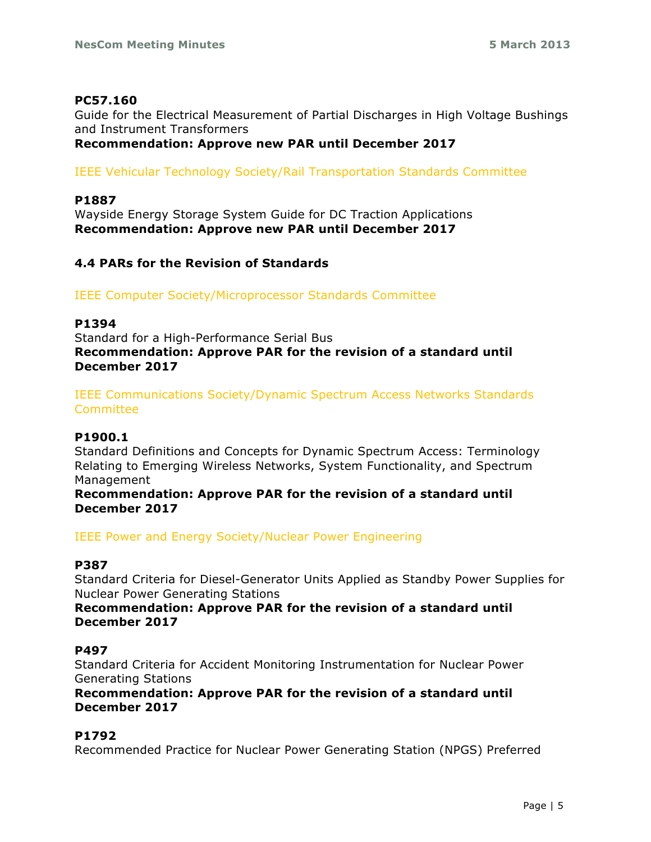### **PC57.160**

Guide for the Electrical Measurement of Partial Discharges in High Voltage Bushings and Instrument Transformers

### **Recommendation: Approve new PAR until December 2017**

IEEE Vehicular Technology Society/Rail Transportation Standards Committee

### **P1887**

Wayside Energy Storage System Guide for DC Traction Applications **Recommendation: Approve new PAR until December 2017**

### **4.4 PARs for the Revision of Standards**

IEEE Computer Society/Microprocessor Standards Committee

### **P1394**

Standard for a High-Performance Serial Bus **Recommendation: Approve PAR for the revision of a standard until December 2017**

IEEE Communications Society/Dynamic Spectrum Access Networks Standards **Committee** 

#### **P1900.1**

Standard Definitions and Concepts for Dynamic Spectrum Access: Terminology Relating to Emerging Wireless Networks, System Functionality, and Spectrum Management

**Recommendation: Approve PAR for the revision of a standard until December 2017**

IEEE Power and Energy Society/Nuclear Power Engineering

### **P387**

Standard Criteria for Diesel-Generator Units Applied as Standby Power Supplies for Nuclear Power Generating Stations

### **Recommendation: Approve PAR for the revision of a standard until December 2017**

#### **P497**

Standard Criteria for Accident Monitoring Instrumentation for Nuclear Power Generating Stations

**Recommendation: Approve PAR for the revision of a standard until December 2017**

### **P1792**

Recommended Practice for Nuclear Power Generating Station (NPGS) Preferred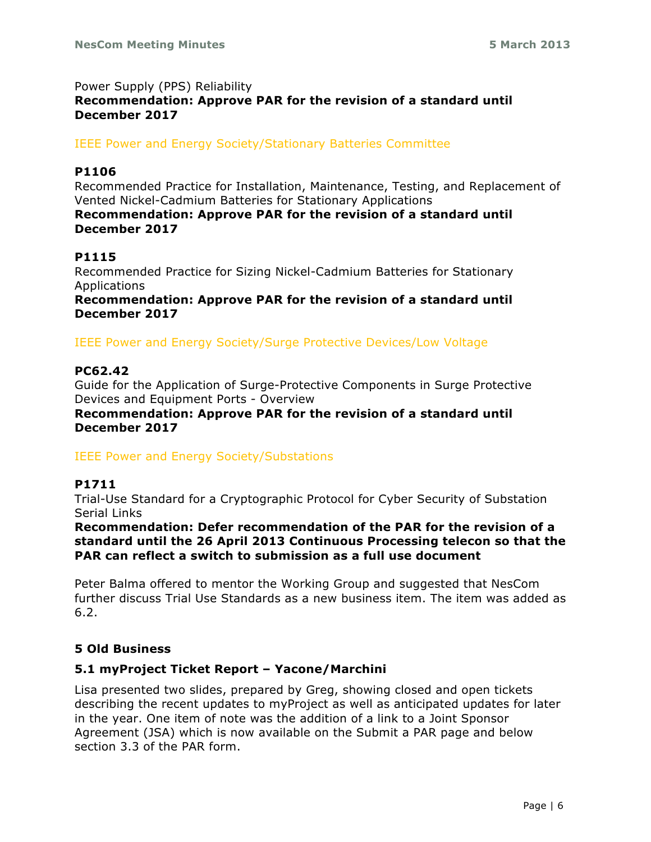### Power Supply (PPS) Reliability **Recommendation: Approve PAR for the revision of a standard until December 2017**

### IEEE Power and Energy Society/Stationary Batteries Committee

### **P1106**

Recommended Practice for Installation, Maintenance, Testing, and Replacement of Vented Nickel-Cadmium Batteries for Stationary Applications

### **Recommendation: Approve PAR for the revision of a standard until December 2017**

# **P1115**

Recommended Practice for Sizing Nickel-Cadmium Batteries for Stationary Applications

**Recommendation: Approve PAR for the revision of a standard until December 2017**

### IEEE Power and Energy Society/Surge Protective Devices/Low Voltage

### **PC62.42**

Guide for the Application of Surge-Protective Components in Surge Protective Devices and Equipment Ports - Overview

**Recommendation: Approve PAR for the revision of a standard until December 2017**

### IEEE Power and Energy Society/Substations

# **P1711**

Trial-Use Standard for a Cryptographic Protocol for Cyber Security of Substation Serial Links

**Recommendation: Defer recommendation of the PAR for the revision of a standard until the 26 April 2013 Continuous Processing telecon so that the PAR can reflect a switch to submission as a full use document**

Peter Balma offered to mentor the Working Group and suggested that NesCom further discuss Trial Use Standards as a new business item. The item was added as 6.2.

### **5 Old Business**

# **5.1 myProject Ticket Report – Yacone/Marchini**

Lisa presented two slides, prepared by Greg, showing closed and open tickets describing the recent updates to myProject as well as anticipated updates for later in the year. One item of note was the addition of a link to a Joint Sponsor Agreement (JSA) which is now available on the Submit a PAR page and below section 3.3 of the PAR form.